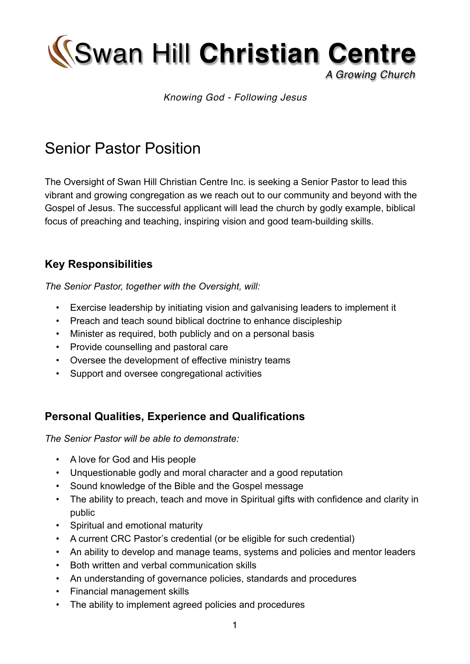Swan Hill **Christian Centre**

#### *A Growing Church*

#### *Knowing God - Following Jesus*

# Senior Pastor Position

The Oversight of Swan Hill Christian Centre Inc. is seeking a Senior Pastor to lead this vibrant and growing congregation as we reach out to our community and beyond with the Gospel of Jesus. The successful applicant will lead the church by godly example, biblical focus of preaching and teaching, inspiring vision and good team-building skills.

### **Key Responsibilities**

*The Senior Pastor, together with the Oversight, will:*

- *•* Exercise leadership by initiating vision and galvanising leaders to implement it
- *•* Preach and teach sound biblical doctrine to enhance discipleship
- *•* Minister as required, both publicly and on a personal basis
- *•* Provide counselling and pastoral care
- *•* Oversee the development of effective ministry teams
- *•* Support and oversee congregational activities

#### **Personal Qualities, Experience and Qualifications**

*The Senior Pastor will be able to demonstrate:*

- *•* A love for God and His people
- *•* Unquestionable godly and moral character and a good reputation
- *•* Sound knowledge of the Bible and the Gospel message
- *•* The ability to preach, teach and move in Spiritual gifts with confidence and clarity in public
- *•* Spiritual and emotional maturity
- *•* A current CRC Pastor's credential (or be eligible for such credential)
- *•* An ability to develop and manage teams, systems and policies and mentor leaders
- *•* Both written and verbal communication skills
- *•* An understanding of governance policies, standards and procedures
- *•* Financial management skills
- *•* The ability to implement agreed policies and procedures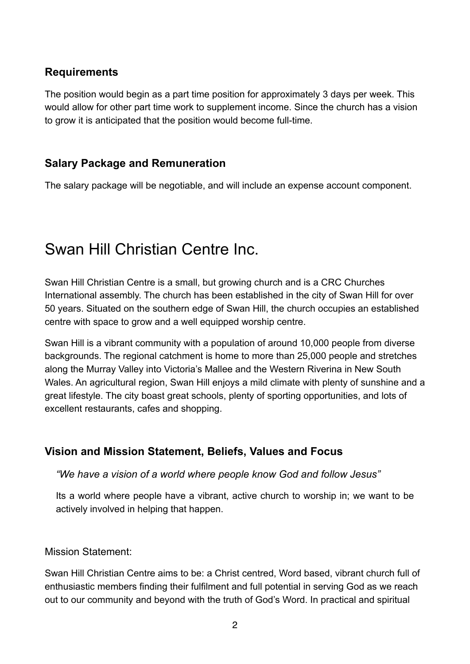### **Requirements**

The position would begin as a part time position for approximately 3 days per week. This would allow for other part time work to supplement income. Since the church has a vision to grow it is anticipated that the position would become full-time.

#### **Salary Package and Remuneration**

The salary package will be negotiable, and will include an expense account component.

# Swan Hill Christian Centre Inc.

Swan Hill Christian Centre is a small, but growing church and is a CRC Churches International assembly. The church has been established in the city of Swan Hill for over 50 years. Situated on the southern edge of Swan Hill, the church occupies an established centre with space to grow and a well equipped worship centre.

Swan Hill is a vibrant community with a population of around 10,000 people from diverse backgrounds. The regional catchment is home to more than 25,000 people and stretches along the Murray Valley into Victoria's Mallee and the Western Riverina in New South Wales. An agricultural region, Swan Hill enjoys a mild climate with plenty of sunshine and a great lifestyle. The city boast great schools, plenty of sporting opportunities, and lots of excellent restaurants, cafes and shopping.

## **Vision and Mission Statement, Beliefs, Values and Focus**

*"We have a vision of a world where people know God and follow Jesus"*

Its a world where people have a vibrant, active church to worship in; we want to be actively involved in helping that happen.

#### Mission Statement:

Swan Hill Christian Centre aims to be: a Christ centred, Word based, vibrant church full of enthusiastic members finding their fulfilment and full potential in serving God as we reach out to our community and beyond with the truth of God's Word. In practical and spiritual